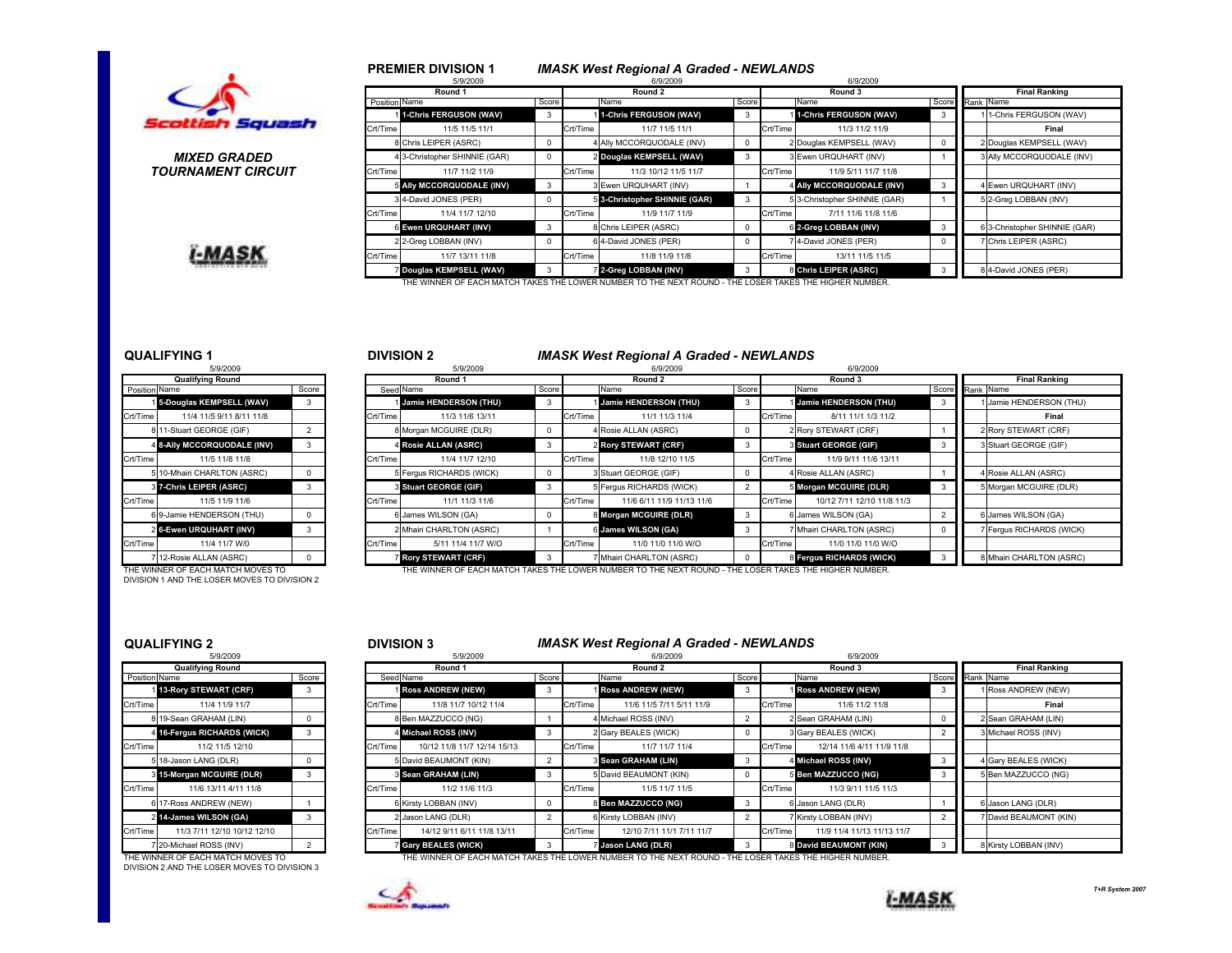

### MIXED GRADEDTOURNAMENT CIRCUIT

I-MASK

|       |               | 5/9/2009                                                                                               |            |          | 6/9/2009                      |            |          | 6/9/2009                      |                      |                               |  |  |
|-------|---------------|--------------------------------------------------------------------------------------------------------|------------|----------|-------------------------------|------------|----------|-------------------------------|----------------------|-------------------------------|--|--|
|       |               | Round 1                                                                                                |            |          | Round 2                       |            |          | Round 3                       | <b>Final Ranking</b> |                               |  |  |
|       | Position Name |                                                                                                        | Score      |          | Name                          | Score      |          | Name                          |                      | Score Rank Name               |  |  |
|       |               | 1-Chris FERGUSON (WAV)                                                                                 | 3          |          | 1-Chris FERGUSON (WAV)        | 3          |          | 1-Chris FERGUSON (WAV)        | 3                    | 1-Chris FERGUSON (WAV)        |  |  |
| uash  | Crt/Time      | 11/5 11/5 11/1                                                                                         |            | Crt/Time | 11/7 11/5 11/1                |            | Crt/Time | 11/3 11/2 11/9                |                      | Final                         |  |  |
|       |               | 8 Chris LEIPER (ASRC)                                                                                  | 0          |          | 4 Ally MCCORQUODALE (INV)     | $^{\circ}$ |          | 2 Douglas KEMPSELL (WAV)      | 0                    | 2 Douglas KEMPSELL (WAV)      |  |  |
| D     |               | 4 3-Christopher SHINNIE (GAR)                                                                          | 0          |          | 2 Douglas KEMPSELL (WAV)      | 3          |          | 3 Ewen URQUHART (INV)         |                      | 3 Ally MCCORQUODALE (INV)     |  |  |
| ?CUIT | Crt/Time      | 11/7 11/2 11/9                                                                                         |            | Crt/Time | 11/3 10/12 11/5 11/7          |            | Crt/Time | 11/9 5/11 11/7 11/8           |                      |                               |  |  |
|       |               | 5 Ally MCCORQUODALE (INV)                                                                              | 3          |          | 3 Ewen URQUHART (INV)         |            |          | 4 Ally MCCORQUODALE (INV)     | 3                    | 4 Ewen URQUHART (INV)         |  |  |
|       |               | 34-David JONES (PER)                                                                                   | 0          |          | 5 3-Christopher SHINNIE (GAR) | 3          |          | 5 3-Christopher SHINNIE (GAR) |                      | 5 2-Greg LOBBAN (INV)         |  |  |
|       | Crt/Time      | 11/4 11/7 12/10                                                                                        |            | Crt/Time | 11/9 11/7 11/9                |            | Crt/Time | 7/11 11/6 11/8 11/6           |                      |                               |  |  |
|       |               | 6 Ewen URQUHART (INV)                                                                                  | 3          |          | 8 Chris LEIPER (ASRC)         | $\Omega$   |          | 6 2-Greg LOBBAN (INV)         | 3                    | 6 3-Christopher SHINNIE (GAR) |  |  |
|       |               | 2 2-Greg LOBBAN (INV)                                                                                  | $^{\circ}$ |          | 6 4-David JONES (PER)         | $^{\circ}$ |          | 7 4-David JONES (PER)         | 0                    | 7 Chris LEIPER (ASRC)         |  |  |
|       | Crt/Time      | 11/7 13/11 11/8                                                                                        |            | Crt/Time | 11/8 11/9 11/8                |            | Crt/Time | 13/11 11/5 11/5               |                      |                               |  |  |
|       |               | Douglas KEMPSELL (WAV)                                                                                 | 3          |          | 2-Greg LOBBAN (INV)           | 3          |          | 8 Chris LEIPER (ASRC)         | 3                    | 8 4-David JONES (PER)         |  |  |
|       |               | THE WINNER OF EACH MATCH TAKES THE LOWER NUMBER TO THE NEXT ROUND - THE LOSER TAKES THE HIGHER NUMBER. |            |          |                               |            |          |                               |                      |                               |  |  |

# QUALIFYING 1

|               | <b>Qualifying Round</b>     |       |
|---------------|-----------------------------|-------|
| Position Name |                             | Score |
|               | 15-Douglas KEMPSELL (WAV)   | 3     |
| Crt/Time      | 11/4 11/5 9/11 8/11 11/8    |       |
|               | 811-Stuart GEORGE (GIF)     | 2     |
|               | 4 8-Ally MCCORQUODALE (INV) | 3     |
| Crt/Time      | 11/5 11/8 11/8              |       |
|               | 5 10-Mhairi CHARLTON (ASRC) | 0     |
|               | 87-Chris LEIPER (ASRC)      | 3     |
| Crt/Time      | 11/5 11/9 11/6              |       |
|               | 6 9-Jamie HENDERSON (THU)   | 0     |
|               | 26-Ewen URQUHART (INV)      | 3     |
| Crt/Time      | 11/4 11/7 W/0               |       |
|               | 7 12-Rosie ALLAN (ASRC)     | 0     |

DIVISION 1 AND THE LOSER MOVES TO DIVISION 2

 $5.88$ 

# DIVISION 2 **IMASK West Regional A Graded - NEWLANDS**

IMASK West Regional A Graded - NEWLANDS

|               | 5/9/2009                    |       |          | 5/9/2009                     |  |          | 6/9/2009                  |       |                 | 6/9/2009                     |                      |  |                          |
|---------------|-----------------------------|-------|----------|------------------------------|--|----------|---------------------------|-------|-----------------|------------------------------|----------------------|--|--------------------------|
|               | <b>Qualifying Round</b>     |       |          | Round 1                      |  |          | Round 2                   |       | Round 3         |                              | <b>Final Ranking</b> |  |                          |
| Position Name |                             | Score |          | Score<br>Seed Name           |  |          | Name                      | Score |                 | Name                         |                      |  | Score Rank Name          |
|               | 15-Douglas KEMPSELL (WAV)   | 3     |          | Jamie HENDERSON (THU)        |  |          | Jamie HENDERSON (THU)     | 3     |                 | <b>Jamie HENDERSON (THU)</b> |                      |  | 1 Jamie HENDERSON (THU)  |
| Crt/Time      | 11/4 11/5 9/11 8/11 11/8    |       | Crt/Time | 11/3 11/6 13/11              |  | Crt/Time | 11/1 11/3 11/4            |       | <b>Crt/Time</b> | 8/11 11/1 1/3 11/2           |                      |  | Final                    |
|               | 8 11-Stuart GEORGE (GIF)    |       |          | 8 Morgan MCGUIRE (DLR)       |  |          | 4 Rosie ALLAN (ASRC)      |       |                 | 2 Rory STEWART (CRF)         |                      |  | 2 Rory STEWART (CRF)     |
|               | 4 8-Ally MCCORQUODALE (INV) |       |          | 4 Rosie ALLAN (ASRC)         |  |          | 2 Rory STEWART (CRF)      |       |                 | 3 Stuart GEORGE (GIF)        |                      |  | 3 Stuart GEORGE (GIF)    |
| Crt/Time      | 11/5 11/8 11/8              |       | Crt/Time | 11/4 11/7 12/10              |  | Crt/Time | 11/8 12/10 11/5           |       | Crt/Time        | 11/9 9/11 11/6 13/11         |                      |  |                          |
|               | 5 10-Mhairi CHARLTON (ASRC) |       |          | Fergus RICHARDS (WICK)       |  |          | 3 Stuart GEORGE (GIF)     |       |                 | 4 Rosie ALLAN (ASRC)         |                      |  | 4 Rosie ALLAN (ASRC)     |
|               | 37-Chris LEIPER (ASRC)      |       |          | <b>8 Stuart GEORGE (GIF)</b> |  |          | 5 Fergus RICHARDS (WICK)  |       |                 | 5 Morgan MCGUIRE (DLR)       |                      |  | 5 Morgan MCGUIRE (DLR)   |
| Crt/Time      | 11/5 11/9 11/6              |       | Crt/Time | 11/1 11/3 11/6               |  | Crt/Time | 11/6 6/11 11/9 11/13 11/6 |       | Crt/Time        | 10/12 7/11 12/10 11/8 11/3   |                      |  |                          |
|               | 69-Jamie HENDERSON (THU)    |       |          | 6 James WILSON (GA)          |  |          | 8 Morgan MCGUIRE (DLR)    |       |                 | 6 James WILSON (GA)          |                      |  | 6 James WILSON (GA)      |
|               | 2 6-Ewen URQUHART (INV)     |       |          | 2 Mhairi CHARLTON (ASRC)     |  |          | 6 James WILSON (GA)       |       |                 | 7 Mhairi CHARLTON (ASRC)     |                      |  | 7 Fergus RICHARDS (WICK) |
| Crt/Time      | 11/4 11/7 W/0               |       | Crt/Time | 5/11 11/4 11/7 W/O           |  | Crt/Time | 11/0 11/0 11/0 W/O        |       | <b>Crt/Time</b> | 11/0 11/0 11/0 W/O           |                      |  |                          |
|               | 12-Rosie ALLAN (ASRC)       |       |          | <b>Rory STEWART (CRF)</b>    |  |          | Mhairi CHARLTON (ASRC)    |       |                 | 8 Fergus RICHARDS (WICK)     |                      |  | 8 Mhairi CHARLTON (ASRC) |
|               |                             |       |          |                              |  |          |                           |       |                 |                              |                      |  |                          |

THE WINNER OF EACH MATCH MOVES TO THE WINNER OF EACH MATCH TAKES THE LOWER NUMBER TO THE NEXT ROUND - THE LOSER TAKES THE HIGHER NUMBER.

# QUALIFYING 2

|                      | <b>Qualifying Round</b>     |                |
|----------------------|-----------------------------|----------------|
| <b>Position Name</b> |                             | Score          |
| 1                    | 13-Rory STEWART (CRF)       | 3              |
| Crt/Time             | 11/4 11/9 11/7              |                |
|                      | 819-Sean GRAHAM (LIN)       | $\Omega$       |
| 4                    | 16-Fergus RICHARDS (WICK)   | 3              |
| Crt/Time             | 11/2 11/5 12/10             |                |
|                      | 5 18-Jason LANG (DLR)       | 0              |
| 3                    | 15-Morgan MCGUIRE (DLR)     | 3              |
| Crt/Time             | 11/6 13/11 4/11 11/8        |                |
| 6                    | 17-Ross ANDREW (NEW)        | 1              |
| $\overline{a}$       | 14-James WILSON (GA)        | 3              |
| Crt/Time             | 11/3 7/11 12/10 10/12 12/10 |                |
|                      | 7 20-Michael ROSS (INV)     | $\overline{2}$ |

DIVISION 2 AND THE LOSER MOVES TO DIVISION 3

## <sup>2</sup> <sup>3</sup> DIVISION 3 IMASK West Regional A Graded - NEWLANDS

|               | 5/9/2009                          |       | 5/9/2009        |                             |    | 6/9/2009 |                                                                                                        |       | 6/9/2009        |                            |                      |                        |  |
|---------------|-----------------------------------|-------|-----------------|-----------------------------|----|----------|--------------------------------------------------------------------------------------------------------|-------|-----------------|----------------------------|----------------------|------------------------|--|
|               | <b>Qualifying Round</b>           |       |                 | Round 1                     |    |          | Round 2                                                                                                |       |                 | Round 3                    | <b>Final Ranking</b> |                        |  |
| Position Name |                                   | Score |                 | Seed Name<br>Score          |    |          | Name                                                                                                   | Score |                 | Name                       | Score Rank Name      |                        |  |
|               | 113-Rory STEWART (CRF)            | 3     |                 | <b>Ross ANDREW (NEW)</b>    | -3 |          | <b>Ross ANDREW (NEW)</b>                                                                               | -3    |                 | <b>I Ross ANDREW (NEW)</b> |                      | 1 Ross ANDREW (NEW)    |  |
| Crt/Time      | 11/4 11/9 11/7                    |       | Crt/Time        | 11/8 11/7 10/12 11/4        |    | Crt/Time | 11/6 11/5 7/11 5/11 11/9                                                                               |       | Crt/Time        | 11/6 11/2 11/8             |                      | Final                  |  |
|               | 819-Sean GRAHAM (LIN)             |       |                 | 8 Ben MAZZUCCO (NG)         |    |          | 4 Michael ROSS (INV)                                                                                   |       |                 | 2 Sean GRAHAM (LIN)        |                      | 2 Sean GRAHAM (LIN)    |  |
|               | 4 16-Fergus RICHARDS (WICK)       |       |                 | 4 Michael ROSS (INV)        |    |          | 2 Gary BEALES (WICK)                                                                                   |       |                 | 3 Gary BEALES (WICK)       |                      | 3 Michael ROSS (INV)   |  |
| Crt/Time      | 11/2 11/5 12/10                   |       | <b>Crt/Time</b> | 10/12 11/8 11/7 12/14 15/13 |    | Crt/Time | 11/7 11/7 11/4                                                                                         |       | Crt/Time        | 12/14 11/6 4/11 11/9 11/8  |                      |                        |  |
|               | 5 18-Jason LANG (DLR)             |       |                 | 5 David BEAUMONT (KIN)      |    |          | <b>8 Sean GRAHAM (LIN)</b>                                                                             | - 3   |                 | 4 Michael ROSS (INV)       |                      | 4 Gary BEALES (WICK)   |  |
|               | 3 15-Morgan MCGUIRE (DLR)         |       |                 | S Sean GRAHAM (LIN)         |    |          | 5 David BEAUMONT (KIN)                                                                                 |       |                 | 5 Ben MAZZUCCO (NG)        |                      | 5 Ben MAZZUCCO (NG)    |  |
| Crt/Time      | 11/6 13/11 4/11 11/8              |       | <b>Crt/Time</b> | 11/2 11/6 11/3              |    | Crt/Time | 11/5 11/7 11/5                                                                                         |       | <b>Crt/Time</b> | 11/3 9/11 11/5 11/3        |                      |                        |  |
|               | 6 17-Ross ANDREW (NEW)            |       |                 | 6 Kirsty LOBBAN (INV)       |    |          | 8 Ben MAZZUCCO (NG)                                                                                    | -3    |                 | 6 Jason LANG (DLR)         |                      | 6 Jason LANG (DLR)     |  |
|               | 2 14-James WILSON (GA)            |       |                 | 2 Jason LANG (DLR)          |    |          | 6 Kirsty LOBBAN (INV)                                                                                  |       |                 | 7 Kirsty LOBBAN (INV)      |                      | 7 David BEAUMONT (KIN) |  |
| Crt/Time      | 11/3 7/11 12/10 10/12 12/10       |       | Crt/Time        | 14/12 9/11 6/11 11/8 13/11  |    | Crt/Time | 12/10 7/11 11/1 7/11 11/7                                                                              |       | <b>Crt/Time</b> | 11/9 11/4 11/13 11/13 11/7 |                      |                        |  |
|               | 20-Michael ROSS (INV)             |       |                 | <b>Gary BEALES (WICK)</b>   |    |          | Jason LANG (DLR)                                                                                       |       |                 | 8 David BEAUMONT (KIN)     |                      | 8 Kirsty LOBBAN (INV)  |  |
|               | THE WINNER OF FACH MATCH MOVES TO |       |                 |                             |    |          | THE WINNER OF EACH MATCH TAKES THE LOWER NUMBER TO THE NEXT ROUND - THE LOSER TAKES THE HIGHER NUMBER. |       |                 |                            |                      |                        |  |



PREMIER DIVISION 1

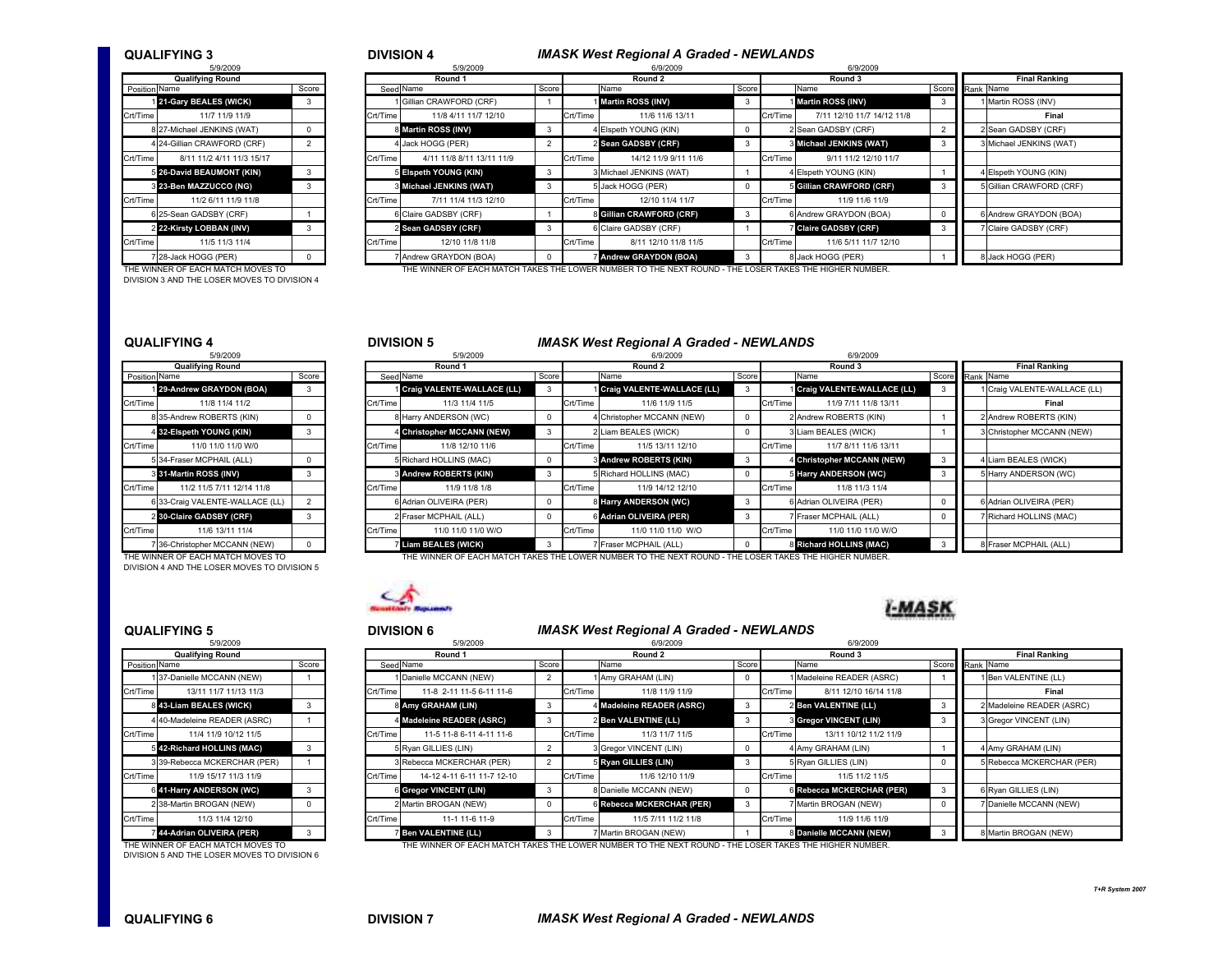### QUALIFYING 3

| <b>IVISION 4</b> |  |
|------------------|--|
|------------------|--|

### DIVISION 4 IMASK West Regional A Graded - NEWLANDS

|                      | 5/9/2009                    |                |
|----------------------|-----------------------------|----------------|
|                      | <b>Qualifying Round</b>     |                |
| <b>Position Name</b> |                             | Score          |
|                      | 121-Gary BEALES (WICK)      | 3              |
| Crt/Time             | 11/7 11/9 11/9              |                |
|                      | 8 27-Michael JENKINS (WAT)  | 0              |
|                      | 4 24-Gillian CRAWFORD (CRF) | $\overline{2}$ |
| Crt/Time             | 8/11 11/2 4/11 11/3 15/17   |                |
|                      | 5 26-David BEAUMONT (KIN)   | 3              |
|                      | 8 23-Ben MAZZUCCO (NG)      | 3              |
| Crt/Time             | 11/2 6/11 11/9 11/8         |                |
|                      | 6 25-Sean GADSBY (CRF)      | 1              |
|                      | 2 22-Kirsty LOBBAN (INV)    | 3              |
| Crt/Time             | 11/5 11/3 11/4              |                |
| $\overline{7}$       | 28-Jack HOGG (PER)          | 0              |

DIVISION 3 AND THE LOSER MOVES TO DIVISION 4

| 5/9/2009                    | 5/9/2009 |  |                           |                                                                                                                                                                                                                         |                      |                                                                                                                                                                                                                                                         |          |                            |                                                                                                                                                                                                         |                      |                          |  |
|-----------------------------|----------|--|---------------------------|-------------------------------------------------------------------------------------------------------------------------------------------------------------------------------------------------------------------------|----------------------|---------------------------------------------------------------------------------------------------------------------------------------------------------------------------------------------------------------------------------------------------------|----------|----------------------------|---------------------------------------------------------------------------------------------------------------------------------------------------------------------------------------------------------|----------------------|--------------------------|--|
| <b>Qualifying Round</b>     |          |  | Round 1                   |                                                                                                                                                                                                                         | Round 2              |                                                                                                                                                                                                                                                         | Round 3  | <b>Final Ranking</b>       |                                                                                                                                                                                                         |                      |                          |  |
| Position Name<br>Score      |          |  |                           |                                                                                                                                                                                                                         | Name                 |                                                                                                                                                                                                                                                         |          | Name                       |                                                                                                                                                                                                         |                      |                          |  |
| 121-Gary BEALES (WICK)      | 3        |  | 1 Gillian CRAWFORD (CRF)  |                                                                                                                                                                                                                         |                      |                                                                                                                                                                                                                                                         |          |                            |                                                                                                                                                                                                         |                      | Martin ROSS (INV)        |  |
| 11/7 11/9 11/9              |          |  | 11/8 4/11 11/7 12/10      |                                                                                                                                                                                                                         | 11/6 11/6 13/11      |                                                                                                                                                                                                                                                         | Crt/Time | 7/11 12/10 11/7 14/12 11/8 |                                                                                                                                                                                                         |                      | Final                    |  |
| 8 27-Michael JENKINS (WAT)  |          |  |                           | 3                                                                                                                                                                                                                       |                      |                                                                                                                                                                                                                                                         |          |                            |                                                                                                                                                                                                         |                      | 2 Sean GADSBY (CRF)      |  |
| 4 24-Gillian CRAWFORD (CRF) |          |  |                           |                                                                                                                                                                                                                         |                      |                                                                                                                                                                                                                                                         |          |                            |                                                                                                                                                                                                         |                      | Michael JENKINS (WAT)    |  |
| 8/11 11/2 4/11 11/3 15/17   |          |  | 4/11 11/8 8/11 13/11 11/9 |                                                                                                                                                                                                                         | 14/12 11/9 9/11 11/6 |                                                                                                                                                                                                                                                         | Crt/Time | 9/11 11/2 12/10 11/7       |                                                                                                                                                                                                         |                      |                          |  |
| 5 26-David BEAUMONT (KIN)   |          |  |                           |                                                                                                                                                                                                                         |                      |                                                                                                                                                                                                                                                         |          |                            |                                                                                                                                                                                                         |                      | Elspeth YOUNG (KIN)      |  |
| 3 23-Ben MAZZUCCO (NG)      |          |  |                           | 3                                                                                                                                                                                                                       |                      |                                                                                                                                                                                                                                                         |          |                            |                                                                                                                                                                                                         |                      | 5 Gillian CRAWFORD (CRF) |  |
| 11/2 6/11 11/9 11/8         |          |  | 7/11 11/4 11/3 12/10      |                                                                                                                                                                                                                         | 12/10 11/4 11/7      |                                                                                                                                                                                                                                                         |          | 11/9 11/6 11/9             |                                                                                                                                                                                                         |                      |                          |  |
| 3 25-Sean GADSBY (CRF)      |          |  |                           |                                                                                                                                                                                                                         |                      |                                                                                                                                                                                                                                                         |          |                            |                                                                                                                                                                                                         |                      | Andrew GRAYDON (BOA)     |  |
| 2 22-Kirsty LOBBAN (INV)    |          |  |                           |                                                                                                                                                                                                                         |                      |                                                                                                                                                                                                                                                         |          |                            |                                                                                                                                                                                                         |                      | Claire GADSBY (CRF)      |  |
| 11/5 11/3 11/4              |          |  | 12/10 11/8 11/8           |                                                                                                                                                                                                                         | 8/11 12/10 11/8 11/5 |                                                                                                                                                                                                                                                         | Crt/Time | 11/6 5/11 11/7 12/10       |                                                                                                                                                                                                         |                      |                          |  |
| 7 28-Jack HOGG (PER)        |          |  | Andrew GRAYDON (BOA)      |                                                                                                                                                                                                                         |                      |                                                                                                                                                                                                                                                         |          |                            |                                                                                                                                                                                                         |                      | 8 Jack HOGG (PER)        |  |
|                             |          |  |                           | Seed Name<br>Crt/Time<br>8 Martin ROSS (INV)<br>4 Jack HOGG (PER)<br>Crt/Time<br>5 Elspeth YOUNG (KIN)<br><b>8 Michael JENKINS (WAT)</b><br><b>Crt/Time</b><br>6 Claire GADSBY (CRF)<br>2 Sean GADSBY (CRF)<br>Crt/Time | Score                | 1 Martin ROSS (INV)<br>Crt/Time<br>4 Elspeth YOUNG (KIN)<br>2 Sean GADSBY (CRF)<br>Crt/Time<br>3 Michael JENKINS (WAT)<br>5 Jack HOGG (PER)<br>Crt/Time<br>8 Gillian CRAWFORD (CRF)<br>6 Claire GADSBY (CRF)<br>Crt/Time<br><b>Andrew GRAYDON (BOA)</b> |          | Score<br><b>Crt/Time</b>   | 1 Martin ROSS (INV)<br>2 Sean GADSBY (CRF)<br>3 Michael JENKINS (WAT)<br>4 Elspeth YOUNG (KIN)<br>5 Gillian CRAWFORD (CRF)<br>6 Andrew GRAYDON (BOA)<br><b>Claire GADSBY (CRF)</b><br>8 Jack HOGG (PER) | 6/9/2009<br>6/9/2009 | Score Rank Name          |  |

THE WINNER OF EACH MATCH MOVES TO THE WINNER OF EACH MATCH TAKES THE LOWER NUMBER TO THE NEXT ROUND - THE LOSER TAKES THE HIGHER NUMBER.

### QUALIFYING 4

|               | <b>Qualifying Round</b>         |                |
|---------------|---------------------------------|----------------|
| Position Name |                                 | Score          |
|               | 129-Andrew GRAYDON (BOA)        | 3              |
| Crt/Time      | 11/8 11/4 11/2                  |                |
|               | 8 35-Andrew ROBERTS (KIN)       | 0              |
|               | 4 32-Elspeth YOUNG (KIN)        | 3              |
| Crt/Time      | 11/0 11/0 11/0 W/0              |                |
|               | 5 34-Fraser MCPHAIL (ALL)       | $\Omega$       |
|               | 331-Martin ROSS (INV)           | 3              |
| Crt/Time      | 11/2 11/5 7/11 12/14 11/8       |                |
|               | 6 33-Craig VALENTE-WALLACE (LL) | $\overline{2}$ |
|               | 2 30-Claire GADSBY (CRF)        | 3              |
| Crt/Time      | 11/6 13/11 11/4                 |                |
|               | 7 36-Christopher MCCANN (NEW)   | n              |

DIVISION 4 AND THE LOSER MOVES TO DIVISION 5

### DIVISION 5 **IMASK West Regional A Graded - NEWLANDS**<br>6/9/2009 <sup>8</sup> 5/9/2009 6/9/2009 6/9/2009 d entity and the second 1 results and 2 Round 2 Round 2 Round 3 Final Ranking Final Ranking School and The Sinal Ranking n Name Score Score Seed Name Score Name Score Name Score Name Score Name Score Name Score Score Rank Name Score 1 29-Andrew GRAYDON (BOA) 3 | 1 Craig VALENTE-WALLACE (LL) 3 | 1 Craig VALENTE-WALLACE (LL) 3 | 1 Craig VALENTE-WALLACE (LL) 3 | 1 Craig VALENTE-WALLACE (LL) Crt/Time 11/8 11/4 11/2 Crt/Time Crt/Time 11/3 11/4 11/5 Crt/Time 11/6 11/9 11/5 Crt/Time 11/9 7/11 11/8 13/11 Pinal 8 35-Andrew ROBERTS (KIN) 0 8 BHarry ANDERSON (WC) 0 4 4 Christopher MCCANN (NEW) 0 2 Andrew ROBERTS (KIN) 1 2 Andrew ROBERTS (KIN) 4 52-Elspeth YOUNG (KIN) 3 4 Ghristopher MCCANN (NEW) 3 2 2 Liam BEALES (WICK) 0 3 Liam BEALES (WICK) 1 3 Christopher MCCANN (NEW) Crt/Time 11/0 11/0 11/0 W/0 Crt/Time 11/8 12/10 11/6 12/10 11/6 Crt/Time 11/5 13/11 12/10 Crt/Time 11/7 8/11 11/6 13/11 5 34-Fraser MCPHAIL (ALL) 0 5 Richard HOLLINS (MAC) 0 3 Andrew ROBERTS (KIN) 3 4 Christopher MCCANN (NEW) 3 4 Liam BEALES (WICK) 31-Martin ROSS (INV) 3 3 3 3 3 3 3 4 3 Andrew ROBERTS (KIN) 3 5 Richard HOLLINS (MAC) 3 5 Harry ANDERSON (WC) 3 5 5 Harry ANDERSON (WC) Crt/Time 11/2 11/5 7/11 12/14 11/8 Crt/Time Crt/Time 11/9 11/8 1/8 Crt/Time 11/9 14/12 12/10 Crt/Time 11/8 11/4 6 33-Craig VALENTE-WALLACE (LL) 2 6 6 Adrian OLIVEIRA (PER) 0 8 Harry ANDERSON (WC) 3 6 6 Adrian OLIVEIRA (PER) 6 6 6 Adrian OLIVEIRA (PER) 200-Claire GADSBY (CRF) 3 2 Fraser MCPHAIL (ALL) 0 6 Adrian OLIVEIRA (PER) 3 7 Fraser MCPHAIL (ALL) 0 7 Richard HOLLINS (MAC) Crt/Time 11/6 13/11 11/4 Crt/Time 11/0 11/0 11/0 W/O Crt/Time 11/0 11/0 11/0 W/O Crt/Time 11/0 11/0 11/0 W/O**Richard HOLLINS (MAC)**

7 | THE MINIME AT AN ONE AND THE MINIME AREAL ALL TO THE MOPHAL (ALL) | 0 | 8 | RIGHAT HOLLINS (MAC) | 3 | 8 |<br>THE WINNER OF EACH MATCH MOVES TO THE WINNER OF EACH MATCH TAKES THE LOWER NUMBER TO THE NEXT ROUND - THE LOSER

# $\overline{\mathcal{A}}$

### QUALIFYING 5

|                      | 5/9/2009                     |       |         |                 | 5/9/2009                   |                |          | 6/9/2009                  | 6/9/2009 |                 |                               |  |
|----------------------|------------------------------|-------|---------|-----------------|----------------------------|----------------|----------|---------------------------|----------|-----------------|-------------------------------|--|
|                      | <b>Qualifying Round</b>      |       | Round 1 |                 |                            |                |          | Round 2                   |          |                 | Round 3                       |  |
| <b>Position Name</b> |                              | Score |         |                 | Seed Name                  | Score          |          | Name                      | Score    |                 | Name                          |  |
|                      | 137-Danielle MCCANN (NEW)    |       |         |                 | Danielle MCCANN (NEW)      |                |          | Amy GRAHAM (LIN)          |          |                 | 1 Madeleine READER (ASF       |  |
| Crt/Time             | 13/11 11/7 11/13 11/3        |       |         | Crt/Time        | 11-8 2-11 11-5 6-11 11-6   |                | Crt/Time | 11/8 11/9 11/9            |          | <b>Crt/Time</b> | 8/11 12/10 16/14              |  |
|                      | 8 43-Liam BEALES (WICK)      | 3     |         |                 | 8 Amy GRAHAM (LIN)         | 3              |          | 4 Madeleine READER (ASRC) |          |                 | 2 Ben VALENTINE (LL)          |  |
|                      | 4 40-Madeleine READER (ASRC) |       |         |                 | 4 Madeleine READER (ASRC)  | 3              |          | 2 Ben VALENTINE (LL)      |          |                 | <b>8 Gregor VINCENT (LIN)</b> |  |
| Crt/Time             | 11/4 11/9 10/12 11/5         |       |         | <b>Crt/Time</b> | 11-5 11-8 6-11 4-11 11-6   |                | Crt/Time | 11/3 11/7 11/5            |          | Crt/Time        | 13/11 10/12 11/2              |  |
|                      | 542-Richard HOLLINS (MAC)    |       |         |                 | 5 Ryan GILLIES (LIN)       |                |          | 3 Gregor VINCENT (LIN)    |          |                 | 4 Amy GRAHAM (LIN)            |  |
|                      | 3 39-Rebecca MCKERCHAR (PER) |       |         |                 | 3 Rebecca MCKERCHAR (PER)  | $\overline{2}$ |          | 5 Ryan GILLIES (LIN)      |          |                 | 5 Ryan GILLIES (LIN)          |  |
| Crt/Time             | 11/9 15/17 11/3 11/9         |       |         | Crt/Time        | 14-12 4-11 6-11 11-7 12-10 |                | Crt/Time | 11/6 12/10 11/9           |          | <b>Crt/Time</b> | 11/5 11/2 11/5                |  |
|                      | 6 41-Harry ANDERSON (WC)     | 3     |         |                 | 6 Gregor VINCENT (LIN)     | 3              |          | 8 Danielle MCCANN (NEW)   |          |                 | ରି Rebecca MCKERCHAR।         |  |
|                      | 2 38-Martin BROGAN (NEW)     | 0     |         |                 | 2 Martin BROGAN (NEW)      | 0              |          | 6 Rebecca MCKERCHAR (PER) | 3        |                 | 7 Martin BROGAN (NEW)         |  |
| Crt/Time             | 11/3 11/4 12/10              |       |         | Crt/Time        | 11-1 11-6 11-9             |                | Crt/Time | 11/5 7/11 11/2 11/8       |          | <b>Crt/Time</b> | 11/9 11/6 11/9                |  |
|                      | 44-Adrian OLIVEIRA (PER)     | 3     |         |                 | Ben VALENTINE (LL)         |                |          | 7 Martin BROGAN (NEW)     |          |                 | <b>8 Danielle MCCANN (NEW</b> |  |

| Crt/Time | 13/11 11/7 11/13 11/3             |   |
|----------|-----------------------------------|---|
|          | 8 43-Liam BEALES (WICK)           | 3 |
|          | 440-Madeleine READER (ASRC)       |   |
| Crt/Time | 11/4 11/9 10/12 11/5              |   |
|          | 342-Richard HOLLINS (MAC)         | 3 |
|          | 3 39-Rebecca MCKERCHAR (PER)      |   |
| Crt/Time | 11/9 15/17 11/3 11/9              |   |
|          | 6 41-Harry ANDERSON (WC)          | 3 |
|          | 2 38-Martin BROGAN (NEW)          |   |
| Crt/Time | 11/3 11/4 12/10                   |   |
|          | 44-Adrian OLIVEIRA (PER)          | 3 |
|          | THE WINNER OF EACH MATCH MOVES TO |   |

DIVISION 5 AND THE LOSER MOVES TO DIVISION 6

|               | <b>QUALIFYING 5</b>          |          |          |          | <b>DIVISION 6</b>          | <b>IMASK West Regional A Graded - NEWLANDS</b> |          |                           |         |                      |                               |  |  |                           |  |  |  |
|---------------|------------------------------|----------|----------|----------|----------------------------|------------------------------------------------|----------|---------------------------|---------|----------------------|-------------------------------|--|--|---------------------------|--|--|--|
|               | 5/9/2009                     |          |          | 5/9/2009 |                            |                                                |          | 6/9/2009                  |         |                      | 6/9/2009                      |  |  |                           |  |  |  |
|               |                              | Round 1  |          |          |                            | Round 2                                        |          |                           | Round 3 | <b>Final Ranking</b> |                               |  |  |                           |  |  |  |
| Position Name |                              | Score    |          |          | Seed Name                  | Score                                          |          | Name                      | Score   |                      | Name                          |  |  | Score Rank Name           |  |  |  |
|               | 137-Danielle MCCANN (NEW)    |          |          |          | 1 Danielle MCCANN (NEW)    |                                                |          | 1 Amy GRAHAM (LIN)        |         |                      | Madeleine READER (ASRC)       |  |  | Ben VALENTINE (LL)        |  |  |  |
| Crt/Time      | 13/11 11/7 11/13 11/3        |          | Crt/Time |          | 11-8 2-11 11-5 6-11 11-6   |                                                | Crt/Time | 11/8 11/9 11/9            |         | Crt/Time             | 8/11 12/10 16/14 11/8         |  |  | Final                     |  |  |  |
|               | 843-Liam BEALES (WICK)       |          |          |          | 8 Amy GRAHAM (LIN)         | 3                                              |          | 4 Madeleine READER (ASRC) |         |                      | 2 Ben VALENTINE (LL)          |  |  | 2 Madeleine READER (ASRC) |  |  |  |
|               | 4 40-Madeleine READER (ASRC) |          |          |          | 4 Madeleine READER (ASRC)  |                                                |          | 2 Ben VALENTINE (LL)      |         |                      | <b>3 Gregor VINCENT (LIN)</b> |  |  | 3 Gregor VINCENT (LIN)    |  |  |  |
| Crt/Time      | 11/4 11/9 10/12 11/5         |          | Crt/Time |          | 11-5 11-8 6-11 4-11 11-6   |                                                | Crt/Time | 11/3 11/7 11/5            |         | Crt/Time             | 13/11 10/12 11/2 11/9         |  |  |                           |  |  |  |
|               | 5 42-Richard HOLLINS (MAC)   |          |          |          | 5 Ryan GILLIES (LIN)       |                                                |          | 3 Gregor VINCENT (LIN)    |         |                      | 4 Amy GRAHAM (LIN)            |  |  | 4 Amy GRAHAM (LIN)        |  |  |  |
|               | 339-Rebecca MCKERCHAR (PER)  |          |          |          | 3 Rebecca MCKERCHAR (PER)  |                                                |          | 5 Ryan GILLIES (LIN)      |         |                      | 5 Ryan GILLIES (LIN)          |  |  | 5 Rebecca MCKERCHAR (PER) |  |  |  |
| Crt/Time      | 11/9 15/17 11/3 11/9         |          | Crt/Time |          | 14-12 4-11 6-11 11-7 12-10 |                                                | Crt/Time | 11/6 12/10 11/9           |         | Crt/Time             | 11/5 11/2 11/5                |  |  |                           |  |  |  |
|               | 6 41-Harry ANDERSON (WC)     |          |          |          | 6 Gregor VINCENT (LIN)     | -3                                             |          | 8 Danielle MCCANN (NEW)   |         |                      | 6 Rebecca MCKERCHAR (PER)     |  |  | 6 Ryan GILLIES (LIN)      |  |  |  |
|               | 2 38-Martin BROGAN (NEW)     | $\Omega$ |          |          | 2 Martin BROGAN (NEW)      |                                                |          | 6 Rebecca MCKERCHAR (PER) |         |                      | 7 Martin BROGAN (NEW)         |  |  | Danielle MCCANN (NEW)     |  |  |  |
|               |                              |          |          |          |                            |                                                |          |                           |         |                      |                               |  |  |                           |  |  |  |

7 44-Adrian OLIVEIRA (PER) 3 7 Ben VALENTINE (LL) 3 7 [Martin BROGAN (NEW) 8 Danielle MCCANN (NEW) 3 8 [Martin BROGAN (NEW)<br>THE WINNER OF EACH MATCH MOVES TO THE WINNER OF EACH MATCH

QUALIFYING 6

T+R System 2007